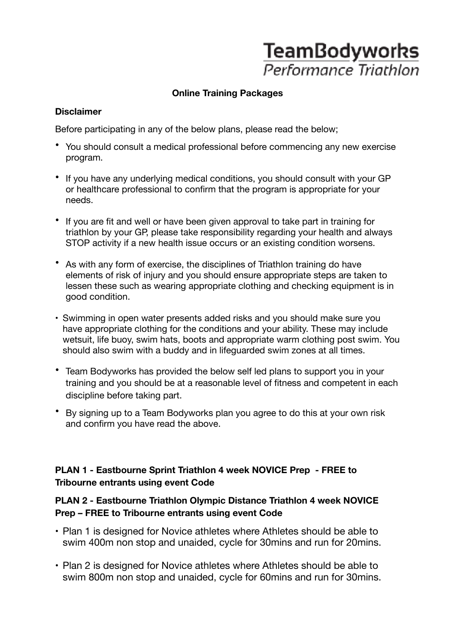# **TeamBodyworks** Performance Triathlon

# **Online Training Packages**

#### **Disclaimer**

Before participating in any of the below plans, please read the below;

- You should consult a medical professional before commencing any new exercise program.
- If you have any underlying medical conditions, you should consult with your GP or healthcare professional to confirm that the program is appropriate for your needs.
- If you are fit and well or have been given approval to take part in training for triathlon by your GP, please take responsibility regarding your health and always STOP activity if a new health issue occurs or an existing condition worsens.
- As with any form of exercise, the disciplines of Triathlon training do have elements of risk of injury and you should ensure appropriate steps are taken to lessen these such as wearing appropriate clothing and checking equipment is in good condition.
- Swimming in open water presents added risks and you should make sure you have appropriate clothing for the conditions and your ability. These may include wetsuit, life buoy, swim hats, boots and appropriate warm clothing post swim. You should also swim with a buddy and in lifeguarded swim zones at all times.
- Team Bodyworks has provided the below self led plans to support you in your training and you should be at a reasonable level of fitness and competent in each discipline before taking part.
- By signing up to a Team Bodyworks plan you agree to do this at your own risk and confirm you have read the above.

# **PLAN 1 - Eastbourne Sprint Triathlon 4 week NOVICE Prep - FREE to Tribourne entrants using event Code**

#### **PLAN 2 - Eastbourne Triathlon Olympic Distance Triathlon 4 week NOVICE Prep – FREE to Tribourne entrants using event Code**

- Plan 1 is designed for Novice athletes where Athletes should be able to swim 400m non stop and unaided, cycle for 30mins and run for 20mins.
- Plan 2 is designed for Novice athletes where Athletes should be able to swim 800m non stop and unaided, cycle for 60mins and run for 30mins.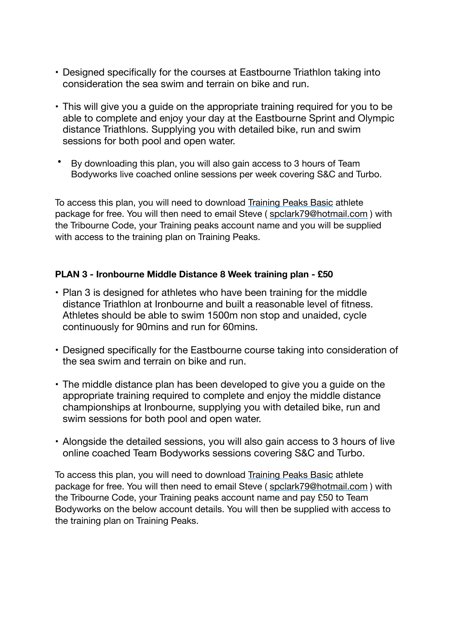- Designed specifically for the courses at Eastbourne Triathlon taking into consideration the sea swim and terrain on bike and run.
- This will give you a guide on the appropriate training required for you to be able to complete and enjoy your day at the Eastbourne Sprint and Olympic distance Triathlons. Supplying you with detailed bike, run and swim sessions for both pool and open water.
- By downloading this plan, you will also gain access to 3 hours of Team Bodyworks live coached online sessions per week covering S&C and Turbo.

To access this plan, you will need to download [Training Peaks Basic](https://www.trainingpeaks.com/) athlete package for free. You will then need to email Steve ( [spclark79@hotmail.com](mailto:spclark79@hotmail.com) ) with the Tribourne Code, your Training peaks account name and you will be supplied with access to the training plan on Training Peaks.

#### **PLAN 3 - Ironbourne Middle Distance 8 Week training plan - £50**

- Plan 3 is designed for athletes who have been training for the middle distance Triathlon at Ironbourne and built a reasonable level of fitness. Athletes should be able to swim 1500m non stop and unaided, cycle continuously for 90mins and run for 60mins.
- Designed specifically for the Eastbourne course taking into consideration of the sea swim and terrain on bike and run.
- The middle distance plan has been developed to give you a guide on the appropriate training required to complete and enjoy the middle distance championships at Ironbourne, supplying you with detailed bike, run and swim sessions for both pool and open water.
- Alongside the detailed sessions, you will also gain access to 3 hours of live online coached Team Bodyworks sessions covering S&C and Turbo.

To access this plan, you will need to download [Training Peaks Basic](https://www.trainingpeaks.com/) athlete package for free. You will then need to email Steve ( [spclark79@hotmail.com](mailto:spclark79@hotmail.com) ) with the Tribourne Code, your Training peaks account name and pay £50 to Team Bodyworks on the below account details. You will then be supplied with access to the training plan on Training Peaks.